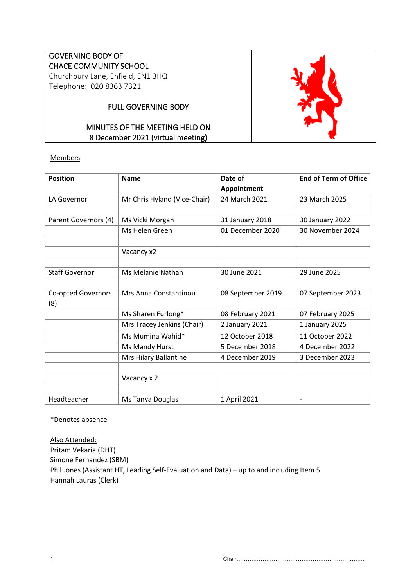# GOVERNING BODY OF CHACE COMMUNITY SCHOOL Churchbury Lane, Enfield, EN1 3HQ

Telephone: 020 8363 7321

# FULL GOVERNING BODY

# MINUTES OF THE MEETING HELD ON 8 December 2021 (virtual meeting)



| <b>Position</b>       | <b>Name</b>                  | Date of           | <b>End of Term of Office</b> |
|-----------------------|------------------------------|-------------------|------------------------------|
|                       |                              | Appointment       |                              |
| LA Governor           | Mr Chris Hyland (Vice-Chair) | 24 March 2021     | 23 March 2025                |
|                       |                              |                   |                              |
| Parent Governors (4)  | Ms Vicki Morgan              | 31 January 2018   | 30 January 2022              |
|                       | Ms Helen Green               | 01 December 2020  | 30 November 2024             |
|                       |                              |                   |                              |
|                       | Vacancy x2                   |                   |                              |
|                       |                              |                   |                              |
| <b>Staff Governor</b> | Ms Melanie Nathan            | 30 June 2021      | 29 June 2025                 |
|                       |                              |                   |                              |
| Co-opted Governors    | Mrs Anna Constantinou        | 08 September 2019 | 07 September 2023            |
| (8)                   |                              |                   |                              |
|                       | Ms Sharen Furlong*           | 08 February 2021  | 07 February 2025             |
|                       | Mrs Tracey Jenkins (Chair)   | 2 January 2021    | 1 January 2025               |
|                       | Ms Mumina Wahid*             | 12 October 2018   | 11 October 2022              |
|                       | Ms Mandy Hurst               | 5 December 2018   | 4 December 2022              |
|                       | Mrs Hilary Ballantine        | 4 December 2019   | 3 December 2023              |
|                       |                              |                   |                              |
|                       | Vacancy x 2                  |                   |                              |
|                       |                              |                   |                              |
| Headteacher           | Ms Tanya Douglas             | 1 April 2021      | $\qquad \qquad \blacksquare$ |

\*Denotes absence

Also Attended: Pritam Vekaria (DHT) Simone Fernandez (SBM) Phil Jones (Assistant HT, Leading Self-Evaluation and Data) – up to and including Item 5 Hannah Lauras (Clerk)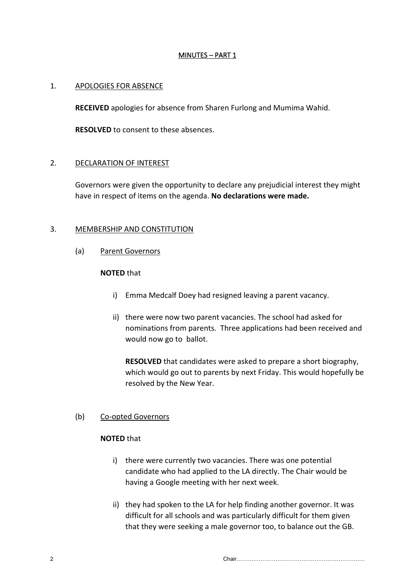## MINUTES – PART 1

### 1. APOLOGIES FOR ABSENCE

**RECEIVED** apologies for absence from Sharen Furlong and Mumima Wahid.

**RESOLVED** to consent to these absences.

## 2. DECLARATION OF INTEREST

Governors were given the opportunity to declare any prejudicial interest they might have in respect of items on the agenda. **No declarations were made.**

## 3. MEMBERSHIP AND CONSTITUTION

(a) Parent Governors

# **NOTED** that

- i) Emma Medcalf Doey had resigned leaving a parent vacancy.
- ii) there were now two parent vacancies. The school had asked for nominations from parents. Three applications had been received and would now go to ballot.

**RESOLVED** that candidates were asked to prepare a short biography, which would go out to parents by next Friday. This would hopefully be resolved by the New Year.

#### (b) Co-opted Governors

## **NOTED** that

- i) there were currently two vacancies. There was one potential candidate who had applied to the LA directly. The Chair would be having a Google meeting with her next week.
- ii) they had spoken to the LA for help finding another governor. It was difficult for all schools and was particularly difficult for them given that they were seeking a male governor too, to balance out the GB.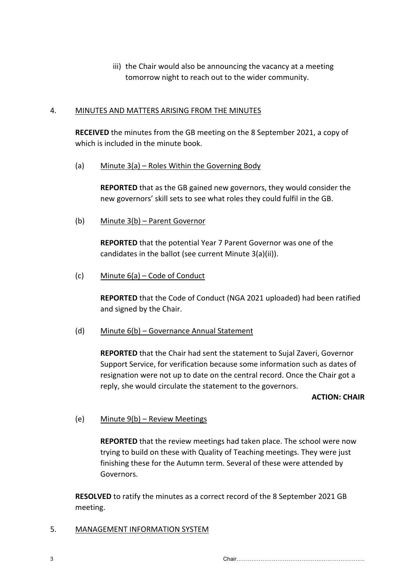iii) the Chair would also be announcing the vacancy at a meeting tomorrow night to reach out to the wider community.

### 4. MINUTES AND MATTERS ARISING FROM THE MINUTES

**RECEIVED** the minutes from the GB meeting on the 8 September 2021, a copy of which is included in the minute book.

(a) Minute 3(a) – Roles Within the Governing Body

**REPORTED** that as the GB gained new governors, they would consider the new governors' skill sets to see what roles they could fulfil in the GB.

(b) Minute 3(b) – Parent Governor

**REPORTED** that the potential Year 7 Parent Governor was one of the candidates in the ballot (see current Minute 3(a)(ii)).

(c) Minute 6(a) – Code of Conduct

**REPORTED** that the Code of Conduct (NGA 2021 uploaded) had been ratified and signed by the Chair.

(d) Minute 6(b) – Governance Annual Statement

**REPORTED** that the Chair had sent the statement to Sujal Zaveri, Governor Support Service, for verification because some information such as dates of resignation were not up to date on the central record. Once the Chair got a reply, she would circulate the statement to the governors.

#### **ACTION: CHAIR**

# (e) Minute 9(b) – Review Meetings

**REPORTED** that the review meetings had taken place. The school were now trying to build on these with Quality of Teaching meetings. They were just finishing these for the Autumn term. Several of these were attended by Governors.

**RESOLVED** to ratify the minutes as a correct record of the 8 September 2021 GB meeting.

5. MANAGEMENT INFORMATION SYSTEM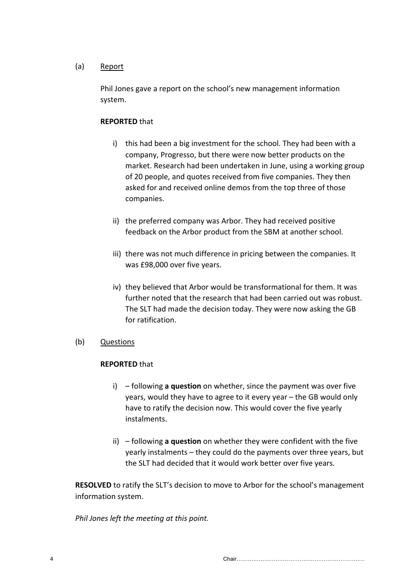### (a) Report

Phil Jones gave a report on the school's new management information system.

## **REPORTED** that

- i) this had been a big investment for the school. They had been with a company, Progresso, but there were now better products on the market. Research had been undertaken in June, using a working group of 20 people, and quotes received from five companies. They then asked for and received online demos from the top three of those companies.
- ii) the preferred company was Arbor. They had received positive feedback on the Arbor product from the SBM at another school.
- iii) there was not much difference in pricing between the companies. It was £98,000 over five years.
- iv) they believed that Arbor would be transformational for them. It was further noted that the research that had been carried out was robust. The SLT had made the decision today. They were now asking the GB for ratification.

# (b) Questions

#### **REPORTED** that

- i) following **a question** on whether, since the payment was over five years, would they have to agree to it every year – the GB would only have to ratify the decision now. This would cover the five yearly instalments.
- ii) following **a question** on whether they were confident with the five yearly instalments – they could do the payments over three years, but the SLT had decided that it would work better over five years.

**RESOLVED** to ratify the SLT's decision to move to Arbor for the school's management information system.

*Phil Jones left the meeting at this point.*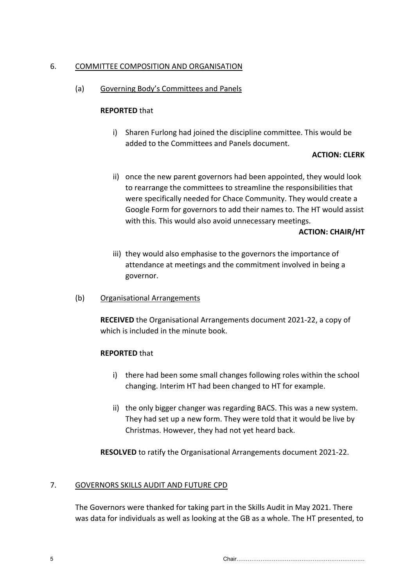### 6. COMMITTEE COMPOSITION AND ORGANISATION

## (a) Governing Body's Committees and Panels

#### **REPORTED** that

i) Sharen Furlong had joined the discipline committee. This would be added to the Committees and Panels document.

#### **ACTION: CLERK**

ii) once the new parent governors had been appointed, they would look to rearrange the committees to streamline the responsibilities that were specifically needed for Chace Community. They would create a Google Form for governors to add their names to. The HT would assist with this. This would also avoid unnecessary meetings.

#### **ACTION: CHAIR/HT**

- iii) they would also emphasise to the governors the importance of attendance at meetings and the commitment involved in being a governor.
- (b) Organisational Arrangements

**RECEIVED** the Organisational Arrangements document 2021-22, a copy of which is included in the minute book.

#### **REPORTED** that

- i) there had been some small changes following roles within the school changing. Interim HT had been changed to HT for example.
- ii) the only bigger changer was regarding BACS. This was a new system. They had set up a new form. They were told that it would be live by Christmas. However, they had not yet heard back.

**RESOLVED** to ratify the Organisational Arrangements document 2021-22.

#### 7. GOVERNORS SKILLS AUDIT AND FUTURE CPD

The Governors were thanked for taking part in the Skills Audit in May 2021. There was data for individuals as well as looking at the GB as a whole. The HT presented, to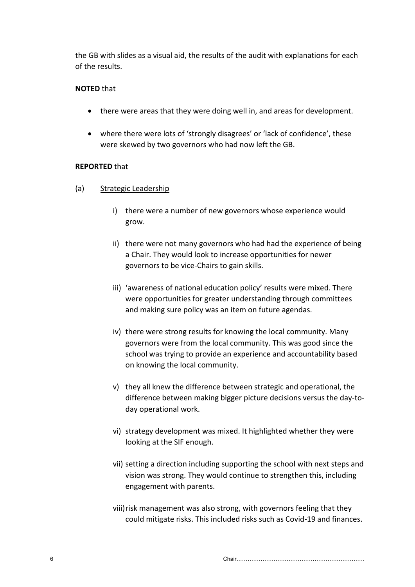the GB with slides as a visual aid, the results of the audit with explanations for each of the results.

## **NOTED** that

- there were areas that they were doing well in, and areas for development.
- where there were lots of 'strongly disagrees' or 'lack of confidence', these were skewed by two governors who had now left the GB.

## **REPORTED** that

- (a) Strategic Leadership
	- i) there were a number of new governors whose experience would grow.
	- ii) there were not many governors who had had the experience of being a Chair. They would look to increase opportunities for newer governors to be vice-Chairs to gain skills.
	- iii) 'awareness of national education policy' results were mixed. There were opportunities for greater understanding through committees and making sure policy was an item on future agendas.
	- iv) there were strong results for knowing the local community. Many governors were from the local community. This was good since the school was trying to provide an experience and accountability based on knowing the local community.
	- v) they all knew the difference between strategic and operational, the difference between making bigger picture decisions versus the day-today operational work.
	- vi) strategy development was mixed. It highlighted whether they were looking at the SIF enough.
	- vii) setting a direction including supporting the school with next steps and vision was strong. They would continue to strengthen this, including engagement with parents.
	- viii)risk management was also strong, with governors feeling that they could mitigate risks. This included risks such as Covid-19 and finances.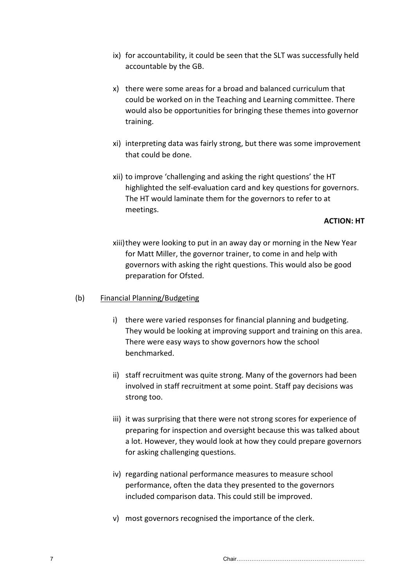- ix) for accountability, it could be seen that the SLT was successfully held accountable by the GB.
- x) there were some areas for a broad and balanced curriculum that could be worked on in the Teaching and Learning committee. There would also be opportunities for bringing these themes into governor training.
- xi) interpreting data was fairly strong, but there was some improvement that could be done.
- xii) to improve 'challenging and asking the right questions' the HT highlighted the self-evaluation card and key questions for governors. The HT would laminate them for the governors to refer to at meetings.

**ACTION: HT**

xiii)they were looking to put in an away day or morning in the New Year for Matt Miller, the governor trainer, to come in and help with governors with asking the right questions. This would also be good preparation for Ofsted.

#### (b) Financial Planning/Budgeting

- i) there were varied responses for financial planning and budgeting. They would be looking at improving support and training on this area. There were easy ways to show governors how the school benchmarked.
- ii) staff recruitment was quite strong. Many of the governors had been involved in staff recruitment at some point. Staff pay decisions was strong too.
- iii) it was surprising that there were not strong scores for experience of preparing for inspection and oversight because this was talked about a lot. However, they would look at how they could prepare governors for asking challenging questions.
- iv) regarding national performance measures to measure school performance, often the data they presented to the governors included comparison data. This could still be improved.
- v) most governors recognised the importance of the clerk.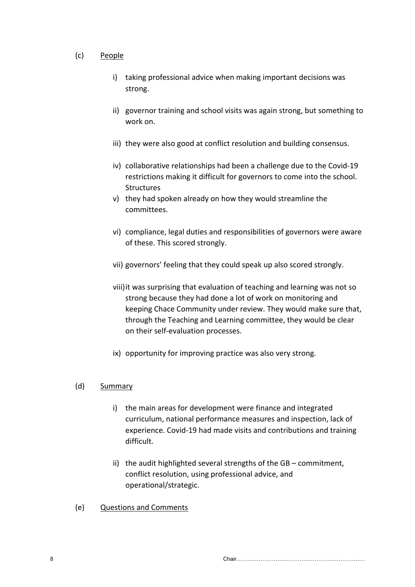## (c) People

- i) taking professional advice when making important decisions was strong.
- ii) governor training and school visits was again strong, but something to work on.
- iii) they were also good at conflict resolution and building consensus.
- iv) collaborative relationships had been a challenge due to the Covid-19 restrictions making it difficult for governors to come into the school. **Structures**
- v) they had spoken already on how they would streamline the committees.
- vi) compliance, legal duties and responsibilities of governors were aware of these. This scored strongly.
- vii) governors' feeling that they could speak up also scored strongly.
- viii)it was surprising that evaluation of teaching and learning was not so strong because they had done a lot of work on monitoring and keeping Chace Community under review. They would make sure that, through the Teaching and Learning committee, they would be clear on their self-evaluation processes.
- ix) opportunity for improving practice was also very strong.

# (d) Summary

- i) the main areas for development were finance and integrated curriculum, national performance measures and inspection, lack of experience. Covid-19 had made visits and contributions and training difficult.
- ii) the audit highlighted several strengths of the GB commitment, conflict resolution, using professional advice, and operational/strategic.
- (e) Questions and Comments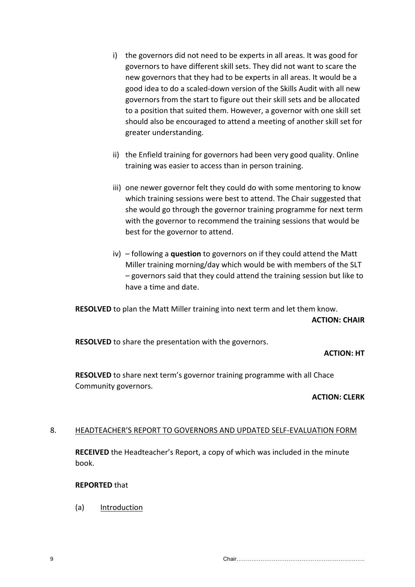- i) the governors did not need to be experts in all areas. It was good for governors to have different skill sets. They did not want to scare the new governors that they had to be experts in all areas. It would be a good idea to do a scaled-down version of the Skills Audit with all new governors from the start to figure out their skill sets and be allocated to a position that suited them. However, a governor with one skill set should also be encouraged to attend a meeting of another skill set for greater understanding.
- ii) the Enfield training for governors had been very good quality. Online training was easier to access than in person training.
- iii) one newer governor felt they could do with some mentoring to know which training sessions were best to attend. The Chair suggested that she would go through the governor training programme for next term with the governor to recommend the training sessions that would be best for the governor to attend.
- iv) following a **question** to governors on if they could attend the Matt Miller training morning/day which would be with members of the SLT – governors said that they could attend the training session but like to have a time and date.

**RESOLVED** to plan the Matt Miller training into next term and let them know. **ACTION: CHAIR**

**RESOLVED** to share the presentation with the governors.

# **ACTION: HT**

**RESOLVED** to share next term's governor training programme with all Chace Community governors.

#### **ACTION: CLERK**

# 8. HEADTEACHER'S REPORT TO GOVERNORS AND UPDATED SELF-EVALUATION FORM

**RECEIVED** the Headteacher's Report, a copy of which was included in the minute book.

**REPORTED** that

(a) Introduction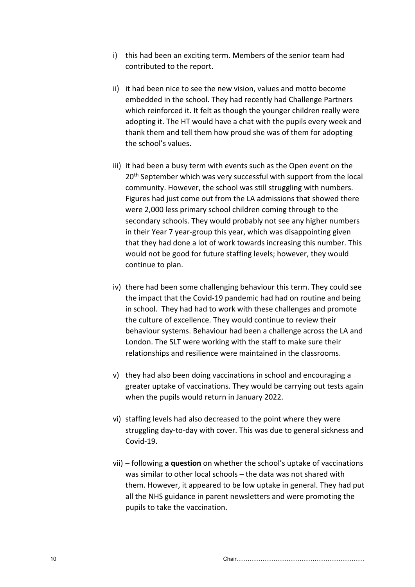- i) this had been an exciting term. Members of the senior team had contributed to the report.
- ii) it had been nice to see the new vision, values and motto become embedded in the school. They had recently had Challenge Partners which reinforced it. It felt as though the younger children really were adopting it. The HT would have a chat with the pupils every week and thank them and tell them how proud she was of them for adopting the school's values.
- iii) it had been a busy term with events such as the Open event on the 20<sup>th</sup> September which was very successful with support from the local community. However, the school was still struggling with numbers. Figures had just come out from the LA admissions that showed there were 2,000 less primary school children coming through to the secondary schools. They would probably not see any higher numbers in their Year 7 year-group this year, which was disappointing given that they had done a lot of work towards increasing this number. This would not be good for future staffing levels; however, they would continue to plan.
- iv) there had been some challenging behaviour this term. They could see the impact that the Covid-19 pandemic had had on routine and being in school. They had had to work with these challenges and promote the culture of excellence. They would continue to review their behaviour systems. Behaviour had been a challenge across the LA and London. The SLT were working with the staff to make sure their relationships and resilience were maintained in the classrooms.
- v) they had also been doing vaccinations in school and encouraging a greater uptake of vaccinations. They would be carrying out tests again when the pupils would return in January 2022.
- vi) staffing levels had also decreased to the point where they were struggling day-to-day with cover. This was due to general sickness and Covid-19.
- vii) following **a question** on whether the school's uptake of vaccinations was similar to other local schools – the data was not shared with them. However, it appeared to be low uptake in general. They had put all the NHS guidance in parent newsletters and were promoting the pupils to take the vaccination.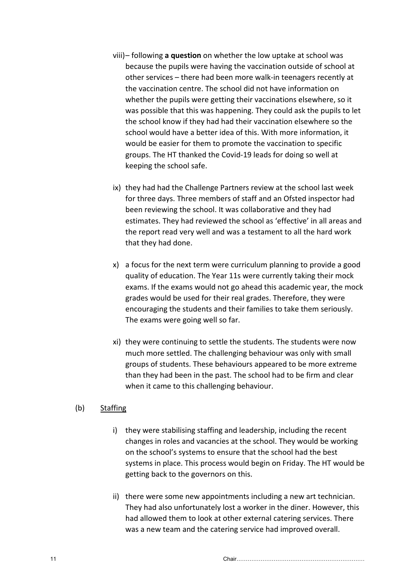- viii)– following **a question** on whether the low uptake at school was because the pupils were having the vaccination outside of school at other services – there had been more walk-in teenagers recently at the vaccination centre. The school did not have information on whether the pupils were getting their vaccinations elsewhere, so it was possible that this was happening. They could ask the pupils to let the school know if they had had their vaccination elsewhere so the school would have a better idea of this. With more information, it would be easier for them to promote the vaccination to specific groups. The HT thanked the Covid-19 leads for doing so well at keeping the school safe.
- ix) they had had the Challenge Partners review at the school last week for three days. Three members of staff and an Ofsted inspector had been reviewing the school. It was collaborative and they had estimates. They had reviewed the school as 'effective' in all areas and the report read very well and was a testament to all the hard work that they had done.
- x) a focus for the next term were curriculum planning to provide a good quality of education. The Year 11s were currently taking their mock exams. If the exams would not go ahead this academic year, the mock grades would be used for their real grades. Therefore, they were encouraging the students and their families to take them seriously. The exams were going well so far.
- xi) they were continuing to settle the students. The students were now much more settled. The challenging behaviour was only with small groups of students. These behaviours appeared to be more extreme than they had been in the past. The school had to be firm and clear when it came to this challenging behaviour.

# (b) Staffing

- i) they were stabilising staffing and leadership, including the recent changes in roles and vacancies at the school. They would be working on the school's systems to ensure that the school had the best systems in place. This process would begin on Friday. The HT would be getting back to the governors on this.
- ii) there were some new appointments including a new art technician. They had also unfortunately lost a worker in the diner. However, this had allowed them to look at other external catering services. There was a new team and the catering service had improved overall.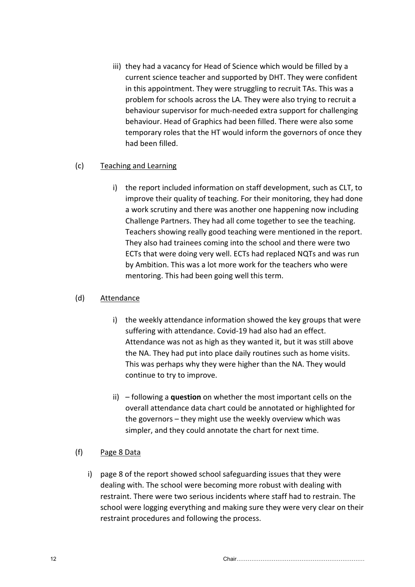iii) they had a vacancy for Head of Science which would be filled by a current science teacher and supported by DHT. They were confident in this appointment. They were struggling to recruit TAs. This was a problem for schools across the LA. They were also trying to recruit a behaviour supervisor for much-needed extra support for challenging behaviour. Head of Graphics had been filled. There were also some temporary roles that the HT would inform the governors of once they had been filled.

## (c) Teaching and Learning

i) the report included information on staff development, such as CLT, to improve their quality of teaching. For their monitoring, they had done a work scrutiny and there was another one happening now including Challenge Partners. They had all come together to see the teaching. Teachers showing really good teaching were mentioned in the report. They also had trainees coming into the school and there were two ECTs that were doing very well. ECTs had replaced NQTs and was run by Ambition. This was a lot more work for the teachers who were mentoring. This had been going well this term.

## (d) Attendance

- i) the weekly attendance information showed the key groups that were suffering with attendance. Covid-19 had also had an effect. Attendance was not as high as they wanted it, but it was still above the NA. They had put into place daily routines such as home visits. This was perhaps why they were higher than the NA. They would continue to try to improve.
- ii) following a **question** on whether the most important cells on the overall attendance data chart could be annotated or highlighted for the governors – they might use the weekly overview which was simpler, and they could annotate the chart for next time.

# (f) Page 8 Data

i) page 8 of the report showed school safeguarding issues that they were dealing with. The school were becoming more robust with dealing with restraint. There were two serious incidents where staff had to restrain. The school were logging everything and making sure they were very clear on their restraint procedures and following the process.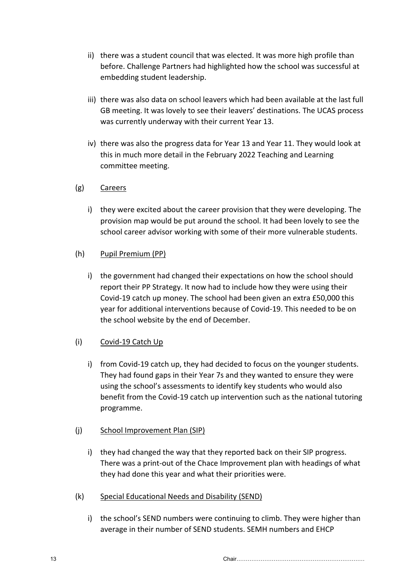- ii) there was a student council that was elected. It was more high profile than before. Challenge Partners had highlighted how the school was successful at embedding student leadership.
- iii) there was also data on school leavers which had been available at the last full GB meeting. It was lovely to see their leavers' destinations. The UCAS process was currently underway with their current Year 13.
- iv) there was also the progress data for Year 13 and Year 11. They would look at this in much more detail in the February 2022 Teaching and Learning committee meeting.

# (g) Careers

i) they were excited about the career provision that they were developing. The provision map would be put around the school. It had been lovely to see the school career advisor working with some of their more vulnerable students.

# (h) Pupil Premium (PP)

i) the government had changed their expectations on how the school should report their PP Strategy. It now had to include how they were using their Covid-19 catch up money. The school had been given an extra £50,000 this year for additional interventions because of Covid-19. This needed to be on the school website by the end of December.

# (i) Covid-19 Catch Up

i) from Covid-19 catch up, they had decided to focus on the younger students. They had found gaps in their Year 7s and they wanted to ensure they were using the school's assessments to identify key students who would also benefit from the Covid-19 catch up intervention such as the national tutoring programme.

# (j) School Improvement Plan (SIP)

- i) they had changed the way that they reported back on their SIP progress. There was a print-out of the Chace Improvement plan with headings of what they had done this year and what their priorities were.
- (k) Special Educational Needs and Disability (SEND)
	- i) the school's SEND numbers were continuing to climb. They were higher than average in their number of SEND students. SEMH numbers and EHCP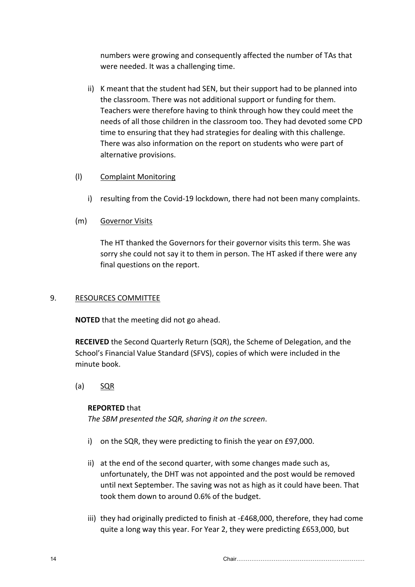numbers were growing and consequently affected the number of TAs that were needed. It was a challenging time.

ii) K meant that the student had SEN, but their support had to be planned into the classroom. There was not additional support or funding for them. Teachers were therefore having to think through how they could meet the needs of all those children in the classroom too. They had devoted some CPD time to ensuring that they had strategies for dealing with this challenge. There was also information on the report on students who were part of alternative provisions.

## (l) Complaint Monitoring

i) resulting from the Covid-19 lockdown, there had not been many complaints.

## (m) Governor Visits

The HT thanked the Governors for their governor visits this term. She was sorry she could not say it to them in person. The HT asked if there were any final questions on the report.

#### 9. RESOURCES COMMITTEE

**NOTED** that the meeting did not go ahead.

**RECEIVED** the Second Quarterly Return (SQR), the Scheme of Delegation, and the School's Financial Value Standard (SFVS), copies of which were included in the minute book.

# (a) SQR

#### **REPORTED** that

*The SBM presented the SQR, sharing it on the screen*.

- i) on the SQR, they were predicting to finish the year on £97,000.
- ii) at the end of the second quarter, with some changes made such as, unfortunately, the DHT was not appointed and the post would be removed until next September. The saving was not as high as it could have been. That took them down to around 0.6% of the budget.
- iii) they had originally predicted to finish at -£468,000, therefore, they had come quite a long way this year. For Year 2, they were predicting £653,000, but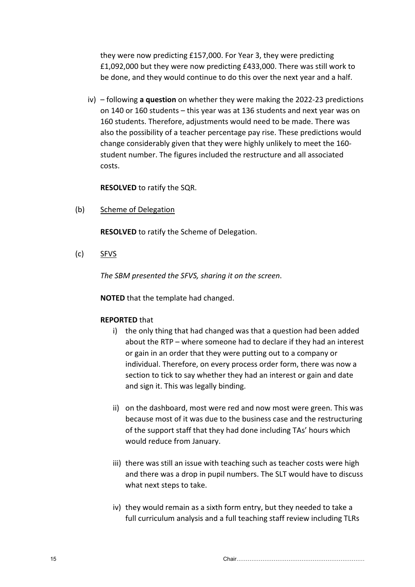they were now predicting £157,000. For Year 3, they were predicting £1,092,000 but they were now predicting £433,000. There was still work to be done, and they would continue to do this over the next year and a half.

iv) – following **a question** on whether they were making the 2022-23 predictions on 140 or 160 students – this year was at 136 students and next year was on 160 students. Therefore, adjustments would need to be made. There was also the possibility of a teacher percentage pay rise. These predictions would change considerably given that they were highly unlikely to meet the 160 student number. The figures included the restructure and all associated costs.

**RESOLVED** to ratify the SQR.

(b) Scheme of Delegation

**RESOLVED** to ratify the Scheme of Delegation.

(c) SFVS

*The SBM presented the SFVS, sharing it on the screen*.

**NOTED** that the template had changed.

#### **REPORTED** that

- i) the only thing that had changed was that a question had been added about the RTP – where someone had to declare if they had an interest or gain in an order that they were putting out to a company or individual. Therefore, on every process order form, there was now a section to tick to say whether they had an interest or gain and date and sign it. This was legally binding.
- ii) on the dashboard, most were red and now most were green. This was because most of it was due to the business case and the restructuring of the support staff that they had done including TAs' hours which would reduce from January.
- iii) there was still an issue with teaching such as teacher costs were high and there was a drop in pupil numbers. The SLT would have to discuss what next steps to take.
- iv) they would remain as a sixth form entry, but they needed to take a full curriculum analysis and a full teaching staff review including TLRs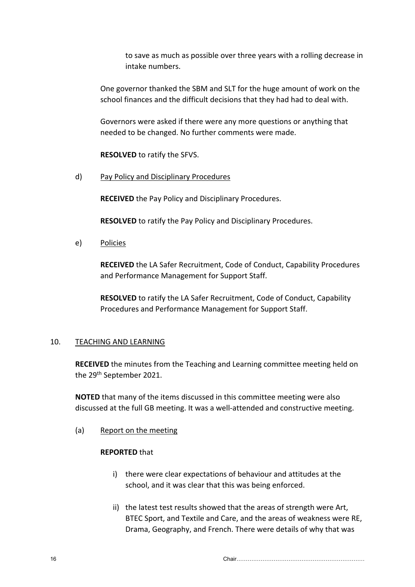to save as much as possible over three years with a rolling decrease in intake numbers.

One governor thanked the SBM and SLT for the huge amount of work on the school finances and the difficult decisions that they had had to deal with.

Governors were asked if there were any more questions or anything that needed to be changed. No further comments were made.

**RESOLVED** to ratify the SFVS.

d) Pay Policy and Disciplinary Procedures

**RECEIVED** the Pay Policy and Disciplinary Procedures.

**RESOLVED** to ratify the Pay Policy and Disciplinary Procedures.

e) Policies

**RECEIVED** the LA Safer Recruitment, Code of Conduct, Capability Procedures and Performance Management for Support Staff.

**RESOLVED** to ratify the LA Safer Recruitment, Code of Conduct, Capability Procedures and Performance Management for Support Staff.

#### 10. TEACHING AND LEARNING

**RECEIVED** the minutes from the Teaching and Learning committee meeting held on the 29<sup>th</sup> September 2021.

**NOTED** that many of the items discussed in this committee meeting were also discussed at the full GB meeting. It was a well-attended and constructive meeting.

(a) Report on the meeting

#### **REPORTED** that

- i) there were clear expectations of behaviour and attitudes at the school, and it was clear that this was being enforced.
- ii) the latest test results showed that the areas of strength were Art, BTEC Sport, and Textile and Care, and the areas of weakness were RE, Drama, Geography, and French. There were details of why that was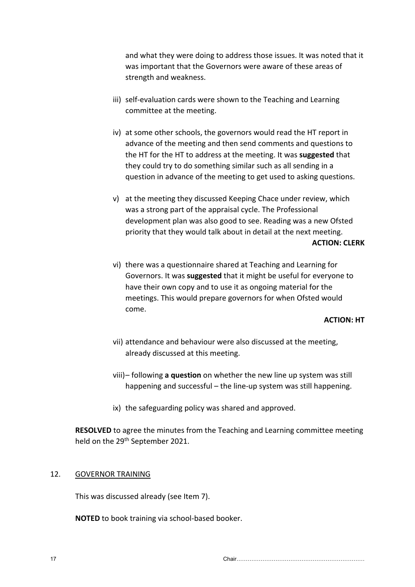and what they were doing to address those issues. It was noted that it was important that the Governors were aware of these areas of strength and weakness.

- iii) self-evaluation cards were shown to the Teaching and Learning committee at the meeting.
- iv) at some other schools, the governors would read the HT report in advance of the meeting and then send comments and questions to the HT for the HT to address at the meeting. It was **suggested** that they could try to do something similar such as all sending in a question in advance of the meeting to get used to asking questions.
- v) at the meeting they discussed Keeping Chace under review, which was a strong part of the appraisal cycle. The Professional development plan was also good to see. Reading was a new Ofsted priority that they would talk about in detail at the next meeting. **ACTION: CLERK**
- vi) there was a questionnaire shared at Teaching and Learning for Governors. It was **suggested** that it might be useful for everyone to have their own copy and to use it as ongoing material for the meetings. This would prepare governors for when Ofsted would come.

**ACTION: HT**

- vii) attendance and behaviour were also discussed at the meeting, already discussed at this meeting.
- viii)– following **a question** on whether the new line up system was still happening and successful – the line-up system was still happening.
- ix) the safeguarding policy was shared and approved.

**RESOLVED** to agree the minutes from the Teaching and Learning committee meeting held on the 29th September 2021.

#### 12. GOVERNOR TRAINING

This was discussed already (see Item 7).

**NOTED** to book training via school-based booker.